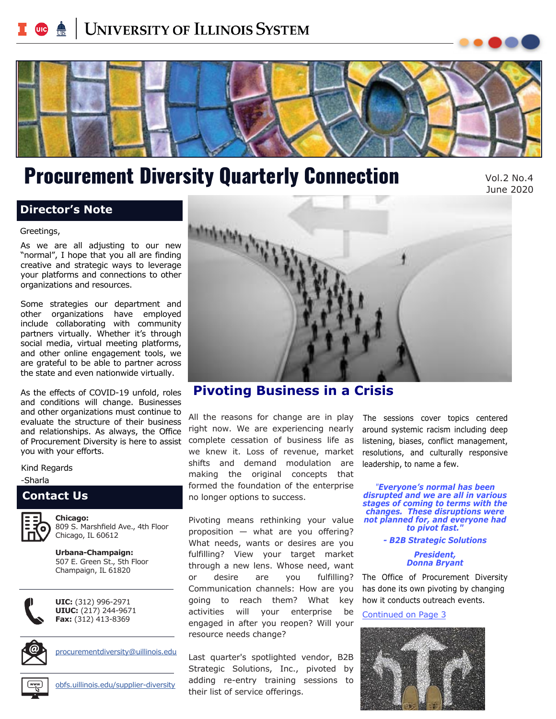# <span id="page-0-0"></span>**UNIVERSITY OF ILLINOIS SYSTEM**



# Procurement Diversity Quarterly Connection

Vol.2 No.4 June 2020

### **Director's Note**

#### Greetings,

 As we are all adjusting to our new "normal", I hope that you all are finding creative and strategic ways to leverage your platforms and connections to other organizations and resources.

 Some strategies our department and other organizations have employed include collaborating with community partners virtually. Whether it's through social media, virtual meeting platforms, and other online engagement tools, we are grateful to be able to partner across the state and even nationwide virtually.

 As the effects of COVID-19 unfold, roles and conditions will change. Businesses evaluate the structure of their business and relationships. As always, the Office and other organizations must continue to of Procurement Diversity is here to assist you with your efforts.

Kind Regards

-Sharla

#### **Contact Us**



809 S. Marshfield Ave., 4th Floor Chicago, IL 60612

**Urbana-Champaign:**  507 E. Green St., 5th Floor Champaign, IL 61820



**UIC:** (312) 996-2971 **UIUC:** (217) 244-9671 **Fax:** (312) 413-8369



[procurementdiversity@uillinois.edu](mailto:procurementdiversity@uillinois.edu) 



[obfs.uillinois.edu/supplier-diversity](https://obfs.uillinois.edu/supplier-diversity) 



### **Pivoting Business in a Crisis**

All the reasons for change are in play right now. We are experiencing nearly complete cessation of business life as we knew it. Loss of revenue, market shifts and demand modulation are making the original concepts that formed the foundation of the enterprise no longer options to success.

Pivoting means rethinking your value proposition — what are you offering? What needs, wants or desires are you fulfilling? View your target market through a new lens. Whose need, want or desire are you fulfilling? Communication channels: How are you going to reach them? What key activities will your enterprise be engaged in after you reopen? Will your resource needs change?

Last quarter's spotlighted vendor, B2B Strategic Solutions, Inc., pivoted by adding re-entry training sessions to their list of service offerings.

 The sessions cover topics centered around systemic racism including deep listening, biases, conflict management, resolutions, and culturally responsive leadership, to name a few.

*"Everyone's normal has been disrupted and we are all in various stages of coming to terms with the changes. These disruptions were not planned for, and everyone had to pivot fast."* 

*- B2B Strategic Solutions*

*President, Donna Bryant*

The Office of Procurement Diversity has done its own pivoting by changing how it conducts outreach events.

[Continued on Page 3](#page-2-0)

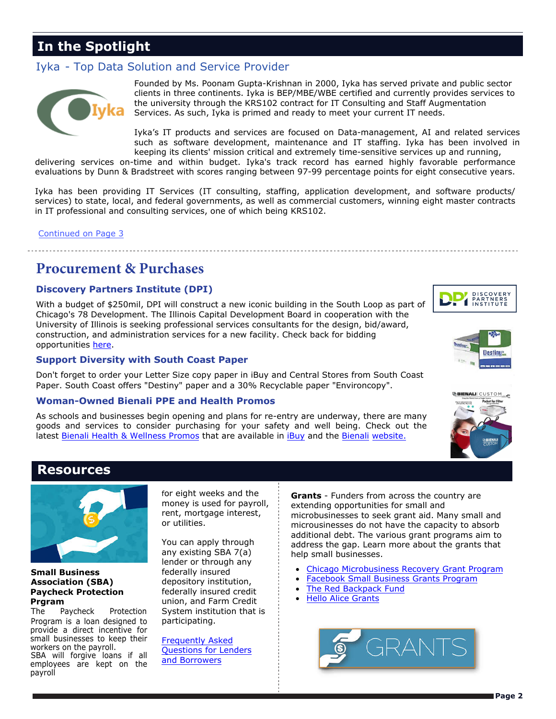### <span id="page-1-0"></span>**In the Spotlight**

#### Iyka - Top Data Solution and Service Provider



Founded by Ms. Poonam Gupta-Krishnan in 2000, Iyka has served private and public sector clients in three continents. Iyka is BEP/MBE/WBE certified and currently provides services to the university through the KRS102 contract for IT Consulting and Staff Augmentation Services. As such, Iyka is primed and ready to meet your current IT needs.

Iyka's IT products and services are focused on Data-management, AI and related services such as software development, maintenance and IT staffing. Iyka has been involved in keeping its clients' mission critical and extremely time-sensitive services up and running,

 evaluations by Dunn & Bradstreet with scores ranging between 97-99 percentage points for eight consecutive years. delivering services on-time and within budget. Iyka's track record has earned highly favorable performance

Iyka has been providing IT Services (IT consulting, staffing, application development, and software products/ services) to state, local, and federal governments, as well as commercial customers, winning eight master contracts in IT professional and consulting services, one of which being KRS102.

[Continued on Page 3](#page-2-0)

### **Procurement & Purchases**

#### **Discovery Partners Institute (DPI)**

With a budget of \$250mil, DPI will construct a new iconic building in the South Loop as part of Chicago's 78 Development. The Illinois Capital Development Board in cooperation with the University of Illinois is seeking professional services consultants for the design, bid/award, construction, and administration services for a new facility. Check back for bidding opportunities [here.](https://www2.illinois.gov/cdb/Pages/default.aspx) 

#### **Support Diversity with South Coast Paper**

Don't forget to order your Letter Size copy paper in iBuy and Central Stores from South Coast Paper. South Coast offers "Destiny" paper and a 30% Recyclable paper "Environcopy".

#### **Woman-Owned Bienali PPE and Health Promos**

As schools and businesses begin opening and plans for re-entry are underway, there are many goods and services to consider purchasing for your safety and well being. Check out the latest [Bienali Health & Wellness Promos](https://www.obfs.uillinois.edu/common/pages/DisplayFile.aspx?itemId=1421116) that are available in [iBuy](https://login.uillinois.edu/auth/SystemLogin/sm_login.fcc?TYPE=33554433&REALMOID=06-a655cb7c-58d0-4028-b49f-79a4f5c6dd58&GUID=&SMAUTHREASON=0&METHOD=GET&SMAGENTNAME=-SM-dr9Cn7JnD4pZ%2fX9Y7a9FAQedR3gjL8aBVPXnJiLeXLOpk38WGJuo%2fOQRlFkbatU7C%2b9kHQgeqhK7gmsMW81K) and the [Bienali website.](https://bienali.com/)







### **Resources**



The Paycheck Protection System institution that is Program is a loan designed to participating. provide a direct incentive for<br>small businesses to keep their small businesses to keep their<br>workers on the payroll.<br>SBA will forgive loans if all <u>Questions for Lenders</u><br>employees are kept on the [and Borrowers](https://www.sba.gov/sites/default/files/2020-06/Paycheck-Protection-Program-Frequently-Asked-Questions_05%2027%2020-508.pdf) payroll

any existing SBA 7(a) help small businesses.<br>lender or through any **Association (SBA)** depository institution, and the second **[Facebook Small Business Grants Program](https://www.facebook.com/business/boost/grants)**<br> **Association deposition** *Constanting Credit* **Constants Program Paycheck Protection** *Constanting Credit* **Const Paycheck Protection Figure 1 Federally insured credit •** T[he Red Backpack Fund](https://www.globalgiving.org/redbackpackfund/) **Prgram Protection Praycheck Fund intervals and Farm Credit •** H[ello Alice Grants](https://grants.helloalice.com/apply/) **Praycheck** Fund intervals and Farm Credit **•** Hel

for eight weeks and the<br>money is used for payroll,<br>rent, mortgage interest,<br>or utilities.<br>or utilities.<br>the capacity of the capacity of absorb<br>or utilities. additional debt. The various grant programs aim to<br>You can apply through address the gap. Learn more about the grants that<br>any existing SBA 7(a) belo small businesses.

- **Small Business for the state of the state of the state of the Small Business Recovery Grant Program**<br>**Experience of the program** of the state of the state of the state of the state of the state of the state of the state
	-
	-
	-